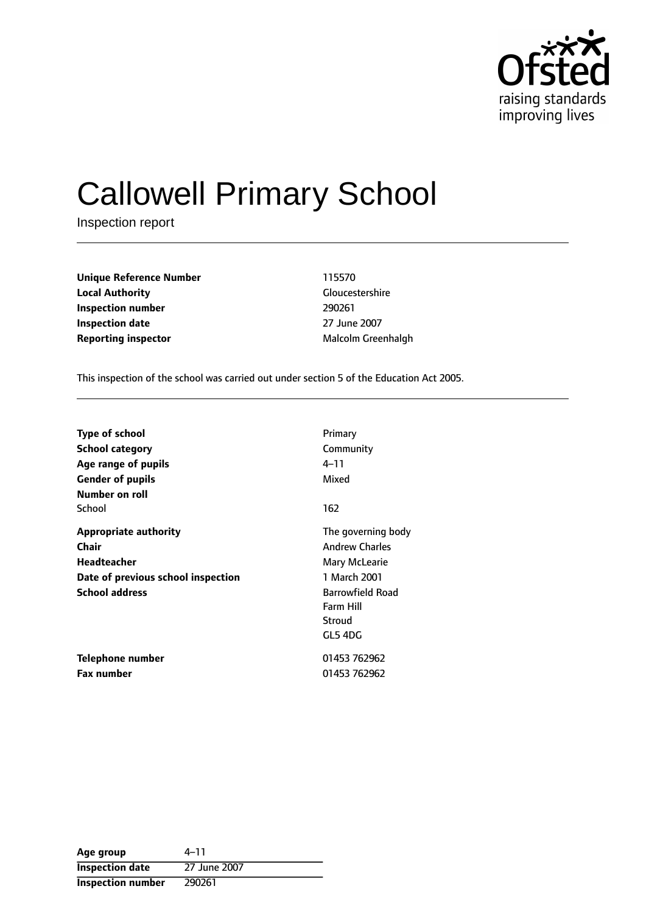

# Callowell Primary School

Inspection report

| <b>Unique Reference Number</b> | 115570                 |
|--------------------------------|------------------------|
| <b>Local Authority</b>         | <b>Gloucestershire</b> |
| Inspection number              | 290261                 |
| <b>Inspection date</b>         | 27 June 2007           |
| <b>Reporting inspector</b>     | Malcolm Greenhalgh     |

**Unique Reference Number** 115570 **Gloucestershire Inspection date** 27 June 2007

This inspection of the school was carried out under section 5 of the Education Act 2005.

| Type of school<br><b>School category</b><br>Age range of pupils<br><b>Gender of pupils</b>                                 | Primary<br>Community<br>$4 - 11$<br>Mixed                                                                                                 |
|----------------------------------------------------------------------------------------------------------------------------|-------------------------------------------------------------------------------------------------------------------------------------------|
| Number on roll<br>School                                                                                                   | 162                                                                                                                                       |
| <b>Appropriate authority</b><br>Chair<br><b>Headteacher</b><br>Date of previous school inspection<br><b>School address</b> | The governing body<br><b>Andrew Charles</b><br>Mary McLearie<br>1 March 2001<br><b>Barrowfield Road</b><br>Farm Hill<br>Stroud<br>GL5 4DG |
| Telephone number<br><b>Fax number</b>                                                                                      | 01453 762962<br>01453 762962                                                                                                              |
|                                                                                                                            |                                                                                                                                           |

| Age group                | 4–11         |
|--------------------------|--------------|
| <b>Inspection date</b>   | 27 June 2007 |
| <b>Inspection number</b> | 290261       |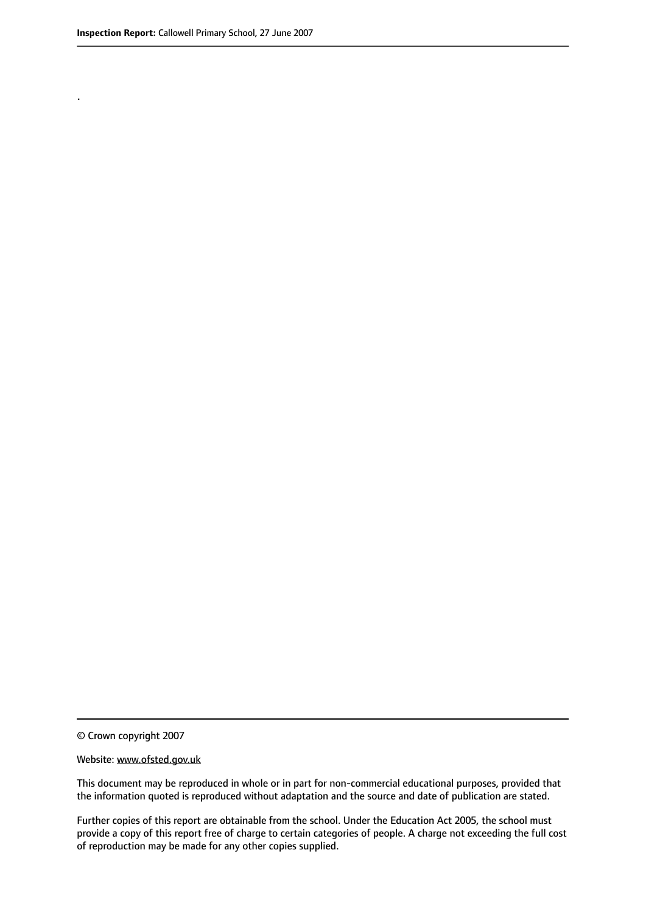.

© Crown copyright 2007

#### Website: www.ofsted.gov.uk

This document may be reproduced in whole or in part for non-commercial educational purposes, provided that the information quoted is reproduced without adaptation and the source and date of publication are stated.

Further copies of this report are obtainable from the school. Under the Education Act 2005, the school must provide a copy of this report free of charge to certain categories of people. A charge not exceeding the full cost of reproduction may be made for any other copies supplied.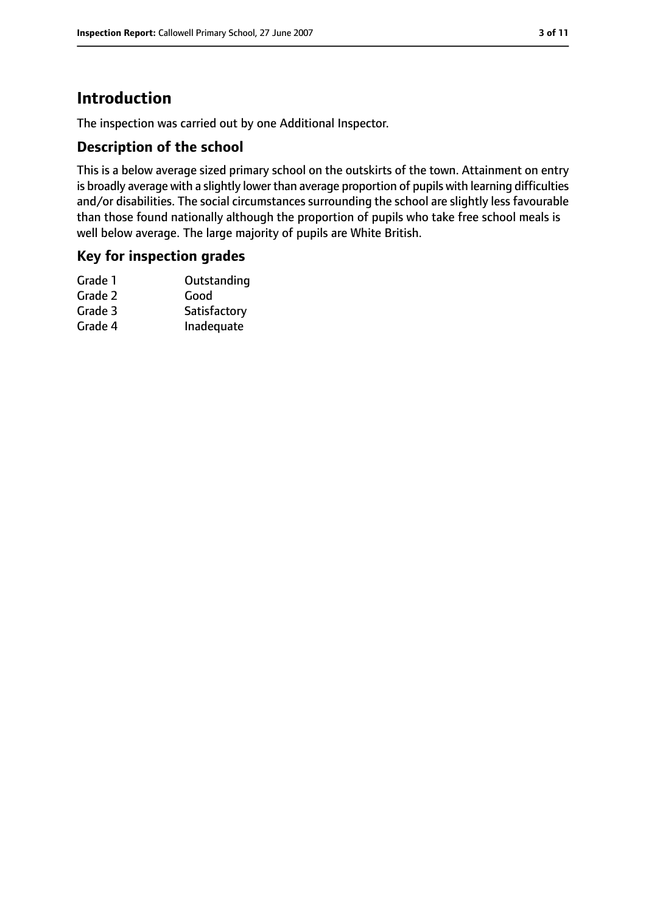# **Introduction**

The inspection was carried out by one Additional Inspector.

## **Description of the school**

This is a below average sized primary school on the outskirts of the town. Attainment on entry is broadly average with a slightly lower than average proportion of pupils with learning difficulties and/or disabilities. The social circumstances surrounding the school are slightly less favourable than those found nationally although the proportion of pupils who take free school meals is well below average. The large majority of pupils are White British.

#### **Key for inspection grades**

| Outstanding  |
|--------------|
| Good         |
| Satisfactory |
| Inadequate   |
|              |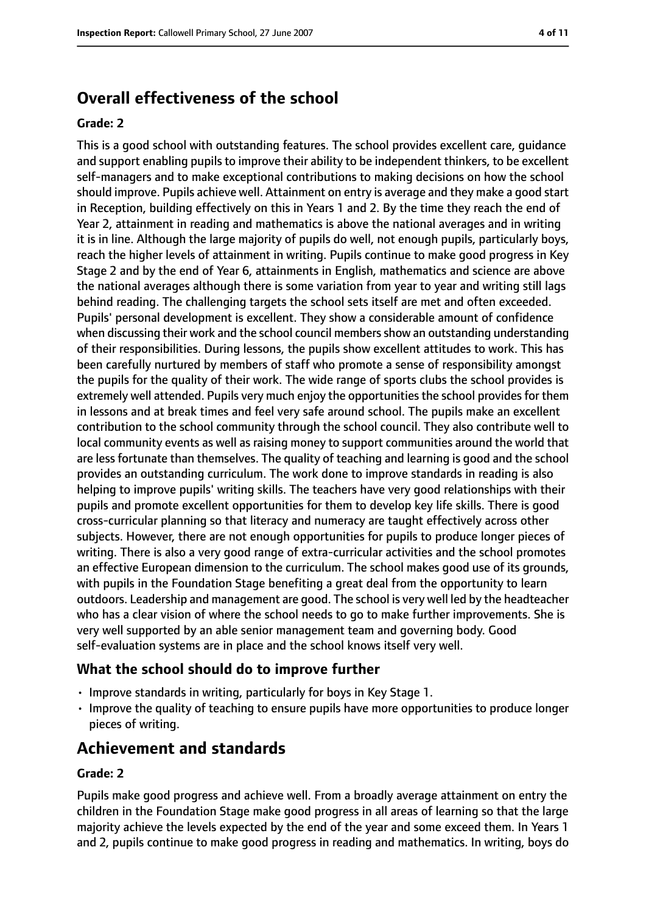# **Overall effectiveness of the school**

#### **Grade: 2**

This is a good school with outstanding features. The school provides excellent care, guidance and support enabling pupils to improve their ability to be independent thinkers, to be excellent self-managers and to make exceptional contributions to making decisions on how the school should improve. Pupils achieve well. Attainment on entry is average and they make a good start in Reception, building effectively on this in Years 1 and 2. By the time they reach the end of Year 2, attainment in reading and mathematics is above the national averages and in writing it is in line. Although the large majority of pupils do well, not enough pupils, particularly boys, reach the higher levels of attainment in writing. Pupils continue to make good progress in Key Stage 2 and by the end of Year 6, attainments in English, mathematics and science are above the national averages although there is some variation from year to year and writing still lags behind reading. The challenging targets the school sets itself are met and often exceeded. Pupils' personal development is excellent. They show a considerable amount of confidence when discussing their work and the school council members show an outstanding understanding of their responsibilities. During lessons, the pupils show excellent attitudes to work. This has been carefully nurtured by members of staff who promote a sense of responsibility amongst the pupils for the quality of their work. The wide range of sports clubs the school provides is extremely well attended. Pupils very much enjoy the opportunities the school provides for them in lessons and at break times and feel very safe around school. The pupils make an excellent contribution to the school community through the school council. They also contribute well to local community events as well as raising money to support communities around the world that are less fortunate than themselves. The quality of teaching and learning is good and the school provides an outstanding curriculum. The work done to improve standards in reading is also helping to improve pupils' writing skills. The teachers have very good relationships with their pupils and promote excellent opportunities for them to develop key life skills. There is good cross-curricular planning so that literacy and numeracy are taught effectively across other subjects. However, there are not enough opportunities for pupils to produce longer pieces of writing. There is also a very good range of extra-curricular activities and the school promotes an effective European dimension to the curriculum. The school makes good use of its grounds, with pupils in the Foundation Stage benefiting a great deal from the opportunity to learn outdoors. Leadership and management are good. The school is very well led by the headteacher who has a clear vision of where the school needs to go to make further improvements. She is very well supported by an able senior management team and governing body. Good self-evaluation systems are in place and the school knows itself very well.

#### **What the school should do to improve further**

- Improve standards in writing, particularly for boys in Key Stage 1.
- Improve the quality of teaching to ensure pupils have more opportunities to produce longer pieces of writing.

## **Achievement and standards**

#### **Grade: 2**

Pupils make good progress and achieve well. From a broadly average attainment on entry the children in the Foundation Stage make good progress in all areas of learning so that the large majority achieve the levels expected by the end of the year and some exceed them. In Years 1 and 2, pupils continue to make good progress in reading and mathematics. In writing, boys do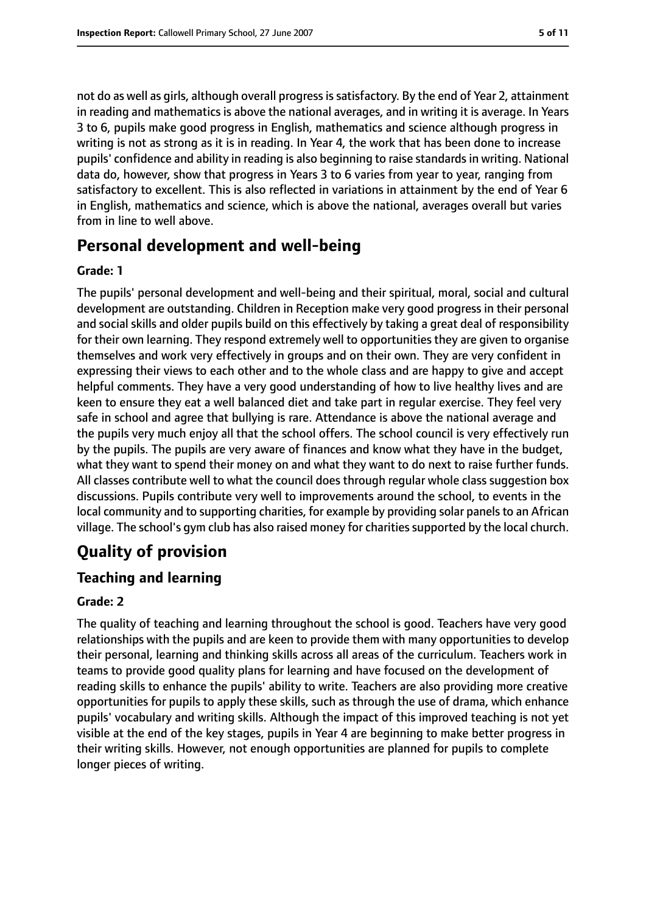not do as well as girls, although overall progressissatisfactory. By the end of Year 2, attainment in reading and mathematics is above the national averages, and in writing it is average. In Years 3 to 6, pupils make good progress in English, mathematics and science although progress in writing is not as strong as it is in reading. In Year 4, the work that has been done to increase pupils' confidence and ability in reading is also beginning to raise standards in writing. National data do, however, show that progress in Years 3 to 6 varies from year to year, ranging from satisfactory to excellent. This is also reflected in variations in attainment by the end of Year 6 in English, mathematics and science, which is above the national, averages overall but varies from in line to well above.

# **Personal development and well-being**

#### **Grade: 1**

The pupils' personal development and well-being and their spiritual, moral, social and cultural development are outstanding. Children in Reception make very good progress in their personal and social skills and older pupils build on this effectively by taking a great deal of responsibility for their own learning. They respond extremely well to opportunities they are given to organise themselves and work very effectively in groups and on their own. They are very confident in expressing their views to each other and to the whole class and are happy to give and accept helpful comments. They have a very good understanding of how to live healthy lives and are keen to ensure they eat a well balanced diet and take part in regular exercise. They feel very safe in school and agree that bullying is rare. Attendance is above the national average and the pupils very much enjoy all that the school offers. The school council is very effectively run by the pupils. The pupils are very aware of finances and know what they have in the budget, what they want to spend their money on and what they want to do next to raise further funds. All classes contribute well to what the council does through regular whole class suggestion box discussions. Pupils contribute very well to improvements around the school, to events in the local community and to supporting charities, for example by providing solar panels to an African village. The school's gym club has also raised money for charities supported by the local church.

# **Quality of provision**

## **Teaching and learning**

#### **Grade: 2**

The quality of teaching and learning throughout the school is good. Teachers have very good relationships with the pupils and are keen to provide them with many opportunities to develop their personal, learning and thinking skills across all areas of the curriculum. Teachers work in teams to provide good quality plans for learning and have focused on the development of reading skills to enhance the pupils' ability to write. Teachers are also providing more creative opportunities for pupils to apply these skills, such as through the use of drama, which enhance pupils' vocabulary and writing skills. Although the impact of this improved teaching is not yet visible at the end of the key stages, pupils in Year 4 are beginning to make better progress in their writing skills. However, not enough opportunities are planned for pupils to complete longer pieces of writing.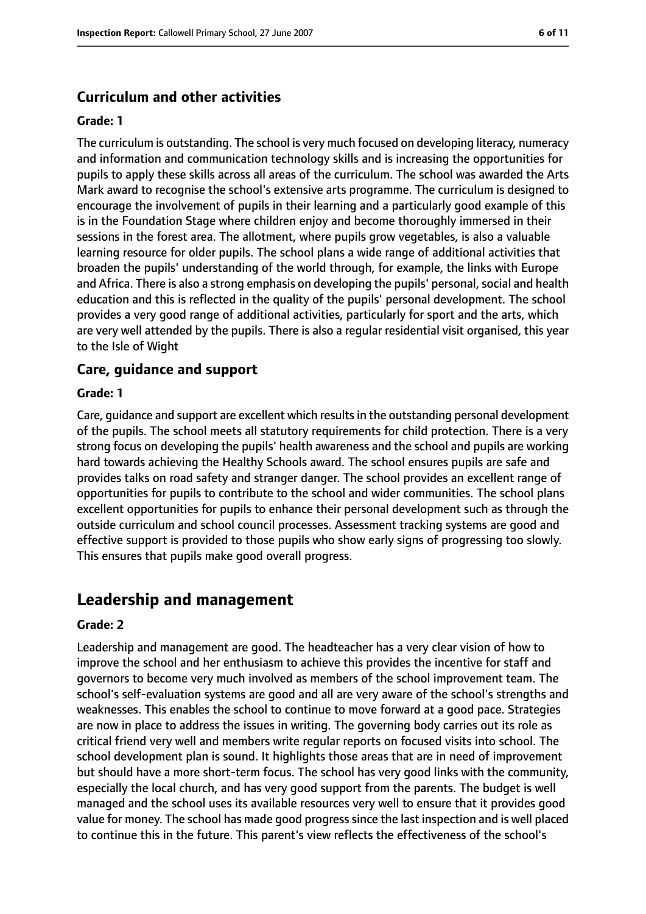#### **Curriculum and other activities**

#### **Grade: 1**

The curriculum is outstanding. The school is very much focused on developing literacy, numeracy and information and communication technology skills and is increasing the opportunities for pupils to apply these skills across all areas of the curriculum. The school was awarded the Arts Mark award to recognise the school's extensive arts programme. The curriculum is designed to encourage the involvement of pupils in their learning and a particularly good example of this is in the Foundation Stage where children enjoy and become thoroughly immersed in their sessions in the forest area. The allotment, where pupils grow vegetables, is also a valuable learning resource for older pupils. The school plans a wide range of additional activities that broaden the pupils' understanding of the world through, for example, the links with Europe and Africa. There is also a strong emphasis on developing the pupils' personal, social and health education and this is reflected in the quality of the pupils' personal development. The school provides a very good range of additional activities, particularly for sport and the arts, which are very well attended by the pupils. There is also a regular residential visit organised, this year to the Isle of Wight

#### **Care, guidance and support**

#### **Grade: 1**

Care, guidance and support are excellent which resultsin the outstanding personal development of the pupils. The school meets all statutory requirements for child protection. There is a very strong focus on developing the pupils' health awareness and the school and pupils are working hard towards achieving the Healthy Schools award. The school ensures pupils are safe and provides talks on road safety and stranger danger. The school provides an excellent range of opportunities for pupils to contribute to the school and wider communities. The school plans excellent opportunities for pupils to enhance their personal development such as through the outside curriculum and school council processes. Assessment tracking systems are good and effective support is provided to those pupils who show early signs of progressing too slowly. This ensures that pupils make good overall progress.

## **Leadership and management**

#### **Grade: 2**

Leadership and management are good. The headteacher has a very clear vision of how to improve the school and her enthusiasm to achieve this provides the incentive for staff and governors to become very much involved as members of the school improvement team. The school's self-evaluation systems are good and all are very aware of the school's strengths and weaknesses. This enables the school to continue to move forward at a good pace. Strategies are now in place to address the issues in writing. The governing body carries out its role as critical friend very well and members write regular reports on focused visits into school. The school development plan is sound. It highlights those areas that are in need of improvement but should have a more short-term focus. The school has very good links with the community, especially the local church, and has very good support from the parents. The budget is well managed and the school uses its available resources very well to ensure that it provides good value for money. The school has made good progress since the last inspection and is well placed to continue this in the future. This parent's view reflects the effectiveness of the school's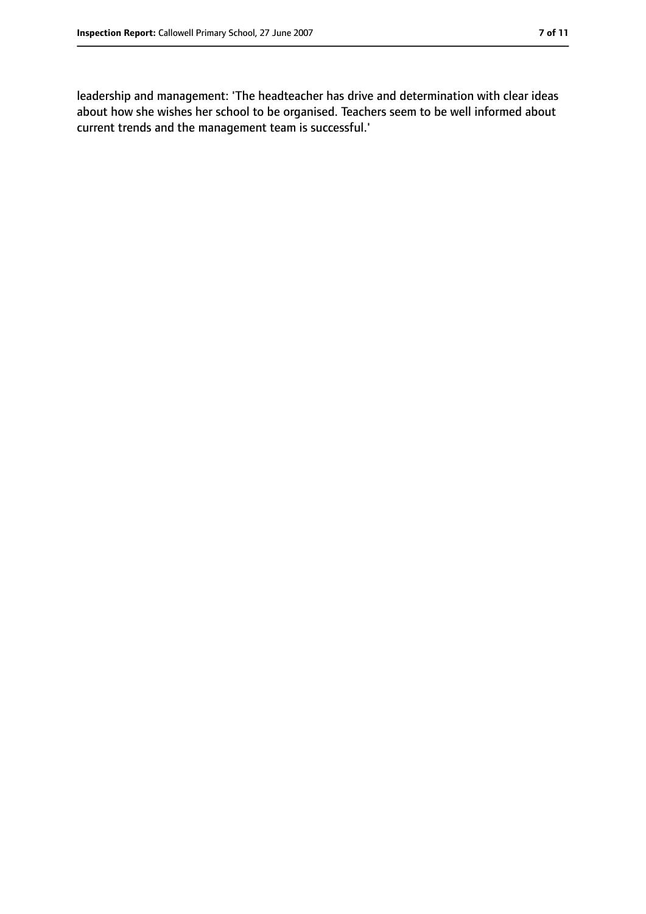leadership and management: 'The headteacher has drive and determination with clear ideas about how she wishes her school to be organised. Teachers seem to be well informed about current trends and the management team is successful.'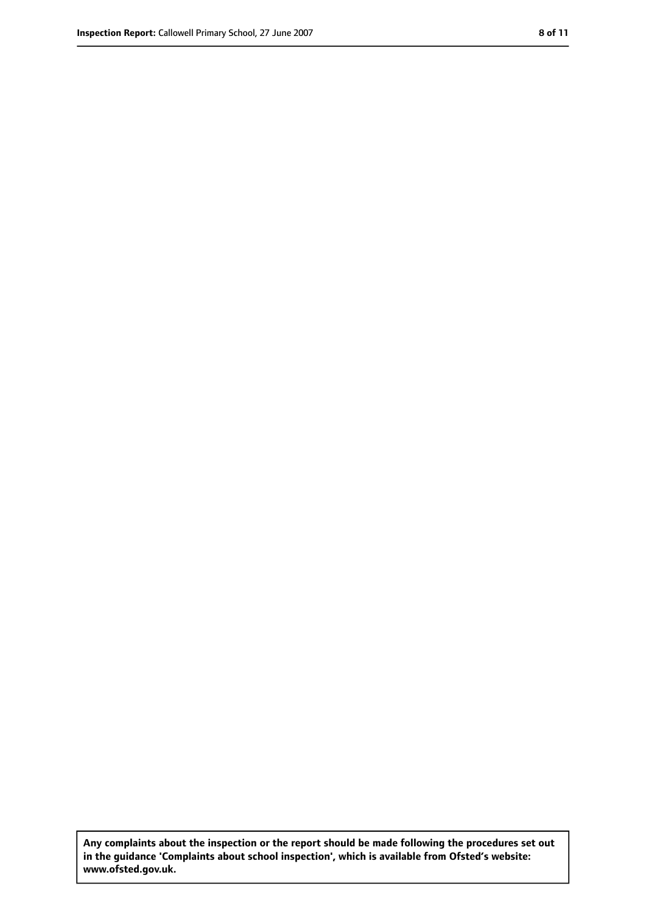**Any complaints about the inspection or the report should be made following the procedures set out in the guidance 'Complaints about school inspection', which is available from Ofsted's website: www.ofsted.gov.uk.**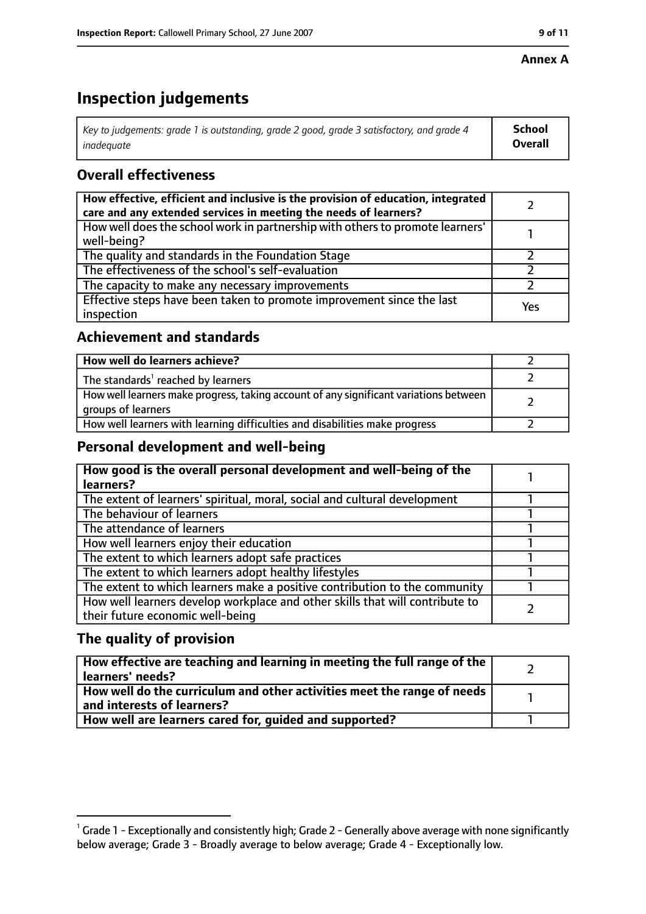#### **Annex A**

# **Inspection judgements**

| Key to judgements: grade 1 is outstanding, grade 2 good, grade 3 satisfactory, and grade 4 $\,$ | <b>School</b>  |
|-------------------------------------------------------------------------------------------------|----------------|
| inadequate                                                                                      | <b>Overall</b> |

# **Overall effectiveness**

| How effective, efficient and inclusive is the provision of education, integrated<br>care and any extended services in meeting the needs of learners? |     |
|------------------------------------------------------------------------------------------------------------------------------------------------------|-----|
| How well does the school work in partnership with others to promote learners'<br>well-being?                                                         |     |
| The quality and standards in the Foundation Stage                                                                                                    |     |
| The effectiveness of the school's self-evaluation                                                                                                    |     |
| The capacity to make any necessary improvements                                                                                                      |     |
| Effective steps have been taken to promote improvement since the last<br>inspection                                                                  | Yes |

## **Achievement and standards**

| How well do learners achieve?                                                                               |  |
|-------------------------------------------------------------------------------------------------------------|--|
| The standards <sup>1</sup> reached by learners                                                              |  |
| How well learners make progress, taking account of any significant variations between<br>groups of learners |  |
| How well learners with learning difficulties and disabilities make progress                                 |  |

## **Personal development and well-being**

| How good is the overall personal development and well-being of the<br>learners? |  |
|---------------------------------------------------------------------------------|--|
|                                                                                 |  |
| The extent of learners' spiritual, moral, social and cultural development       |  |
| The behaviour of learners                                                       |  |
| The attendance of learners                                                      |  |
| How well learners enjoy their education                                         |  |
| The extent to which learners adopt safe practices                               |  |
| The extent to which learners adopt healthy lifestyles                           |  |
| The extent to which learners make a positive contribution to the community      |  |
| How well learners develop workplace and other skills that will contribute to    |  |
| their future economic well-being                                                |  |

# **The quality of provision**

| $\mid$ How effective are teaching and learning in meeting the full range of the $\mid$<br>  learners' needs?               |  |
|----------------------------------------------------------------------------------------------------------------------------|--|
| $\mid$ How well do the curriculum and other activities meet the range of needs $\mid$<br>$\mid$ and interests of learners? |  |
| How well are learners cared for, quided and supported?                                                                     |  |

 $^1$  Grade 1 - Exceptionally and consistently high; Grade 2 - Generally above average with none significantly below average; Grade 3 - Broadly average to below average; Grade 4 - Exceptionally low.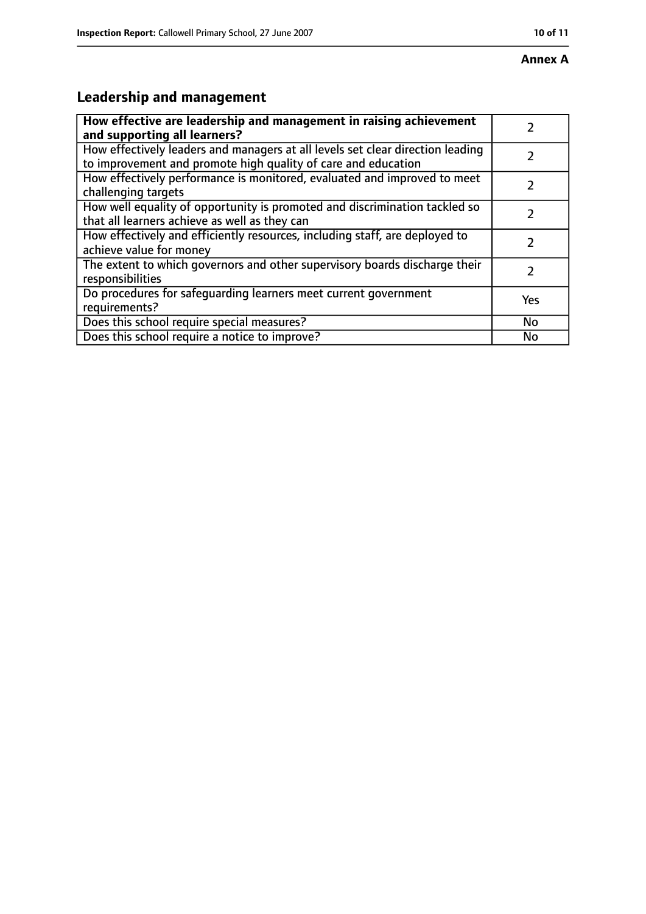# **Leadership and management**

| How effective are leadership and management in raising achievement                                                                              |               |
|-------------------------------------------------------------------------------------------------------------------------------------------------|---------------|
| and supporting all learners?                                                                                                                    |               |
| How effectively leaders and managers at all levels set clear direction leading<br>to improvement and promote high quality of care and education |               |
| How effectively performance is monitored, evaluated and improved to meet<br>challenging targets                                                 |               |
| How well equality of opportunity is promoted and discrimination tackled so<br>that all learners achieve as well as they can                     |               |
| How effectively and efficiently resources, including staff, are deployed to<br>achieve value for money                                          | 7             |
| The extent to which governors and other supervisory boards discharge their<br>responsibilities                                                  | $\mathcal{L}$ |
| Do procedures for safequarding learners meet current government<br>requirements?                                                                | Yes           |
| Does this school require special measures?                                                                                                      | No            |
| Does this school require a notice to improve?                                                                                                   | No            |